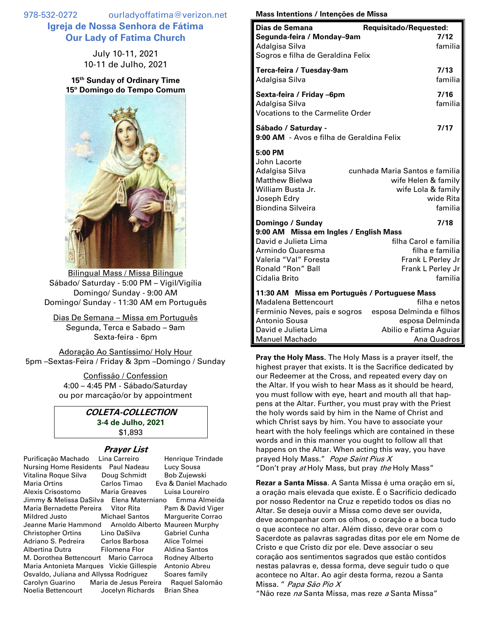978-532-0272 ourladyoffatima@verizon.net **Igreja de Nossa Senhora de Fátima Our Lady of Fatima Church**

> July 10-11, 2021 10-11 de Julho, 2021

**15 th Sunday of Ordinary Time 15º Domingo do Tempo Comum**



Bilingual Mass / Missa Bilíngue Sábado/ Saturday - 5:00 PM – Vigil/Vigília Domingo/ Sunday - 9:00 AM Domingo/ Sunday - 11:30 AM em Português

Dias De Semana – Missa em Português Segunda, Terca e Sabado – 9am Sexta-feira - 6pm

Adoração Ao Santíssimo/ Holy Hour 5pm –Sextas-Feira / Friday & 3pm –Domingo / Sunday

> Confissão / Confession 4:00 – 4:45 PM - Sábado/Saturday ou por marcação/or by appointment

## **COLETA-COLLECTION 3-4 de Julho, 2021** \$1,893

## **Prayer List**

| Purificação Machado                      | Lina Carreiro    | Henrique Trindade              |
|------------------------------------------|------------------|--------------------------------|
| <b>Nursing Home Residents</b>            | Paul Nadeau      | Lucy Sousa                     |
| Vitalina Roque Silva                     | Doug Schmidt     | Bob Zujewski                   |
| <b>Maria Ortins</b>                      | Carlos Timao     | Eva & Daniel Machado           |
| Alexis Crisostomo                        | Maria Greaves    | Luisa Loureiro                 |
| Jimmy & Melissa DaSilva Elena Materniano |                  | Emma Almeida                   |
| Maria Bernadette Pereira                 | Vitor Rita       | Pam & David Viger              |
| Mildred Justo                            | Michael Santos   | <b>Marquerite Corrao</b>       |
| Jeanne Marie Hammond                     |                  | Arnoldo Alberto Maureen Murphy |
| <b>Christopher Ortins</b>                | Lino DaSilva     | Gabriel Cunha                  |
| Adriano S. Pedreira Carlos Barbosa       |                  | Alice Tolmei                   |
| Albertina Dutra                          | Filomena Flor    | Aldina Santos                  |
| M. Dorothea Bettencourt Mario Carroca    |                  | Rodney Alberto                 |
| Maria Antonieta Marques Vickie Gillespie |                  | Antonio Abreu                  |
| Osvaldo, Juliana and Allyssa Rodriguez   |                  | Soares family                  |
| Carolyn Guarino Maria de Jesus Pereira   |                  | Raquel Salomão                 |
| Noelia Bettencourt                       | Jocelyn Richards | <b>Brian Shea</b>              |

## **Mass Intentions / Intenções de Missa**

| Dias de Semana<br>Segunda-feira / Monday-9am<br>Adalgisa Silva<br>Sogros e filha de Geraldina Felix                                               | Requisitado/Requested:<br>7/12<br>familia                                                                                           |
|---------------------------------------------------------------------------------------------------------------------------------------------------|-------------------------------------------------------------------------------------------------------------------------------------|
| Terca-feira / Tuesday-9am<br>Adalgisa Silva                                                                                                       | 7/13<br>familia                                                                                                                     |
| Sexta-feira / Friday -6pm<br>Adalgisa Silva<br><b>Vocations to the Carmelite Order</b>                                                            | 7/16<br>familia                                                                                                                     |
| Sábado / Saturday -<br>9:00 AM - Avos e filha de Geraldina Felix                                                                                  | 7/17                                                                                                                                |
| 5:00 PM<br>John Lacorte<br>Adalgisa Silva<br><b>Matthew Bielwa</b><br>William Busta Jr.<br>Joseph Edry<br>Biondina Silveira                       | cunhada Maria Santos e familia<br>wife Helen & family<br>wife Lola & family<br>wide Rita<br>familia                                 |
| Domingo / Sunday                                                                                                                                  | 7/18                                                                                                                                |
| 9:00 AM Missa em Ingles / English Mass<br>David e Julieta Lima<br>Armindo Quaresma<br>Valeria "Val" Foresta<br>Ronald "Ron" Ball<br>Cidalia Brito | filha Carol e familia<br>filha e familia<br>Frank L Perley Jr<br>Frank L Perley Jr<br>familia                                       |
| 11:30 AM Missa em Português / Portuguese Mass<br>Madalena Bettencourt<br><b>Antonio Sousa</b><br>David e Julieta Lima<br><b>Manuel Machado</b>    | filha e netos<br>Ferminio Neves, pais e sogros esposa Delminda e filhos<br>esposa Delminda<br>Abilio e Fatima Aguiar<br>Ana Quadros |

**Pray the Holy Mass.** The Holy Mass is a prayer itself, the highest prayer that exists. It is the Sacrifice dedicated by our Redeemer at the Cross, and repeated every day on the Altar. If you wish to hear Mass as it should be heard, you must follow with eye, heart and mouth all that happens at the Altar. Further, you must pray with the Priest the holy words said by him in the Name of Christ and which Christ says by him. You have to associate your heart with the holy feelings which are contained in these words and in this manner you ought to follow all that happens on the Altar. When acting this way, you have prayed Holy Mass." Pope Saint Pius X "Don't pray at Holy Mass, but pray the Holy Mass"

**Rezar a Santa Missa**. A Santa Missa é uma oração em si, a oração mais elevada que existe. É o Sacrifício dedicado por nosso Redentor na Cruz e repetido todos os dias no Altar. Se deseja ouvir a Missa como deve ser ouvida, deve acompanhar com os olhos, o coração e a boca tudo o que acontece no altar. Além disso, deve orar com o Sacerdote as palavras sagradas ditas por ele em Nome de Cristo e que Cristo diz por ele. Deve associar o seu coração aos sentimentos sagrados que estão contidos nestas palavras e, dessa forma, deve seguir tudo o que acontece no Altar. Ao agir desta forma, rezou a Santa Missa. " Papa São Pio X

"Não reze na Santa Missa, mas reze a Santa Missa"